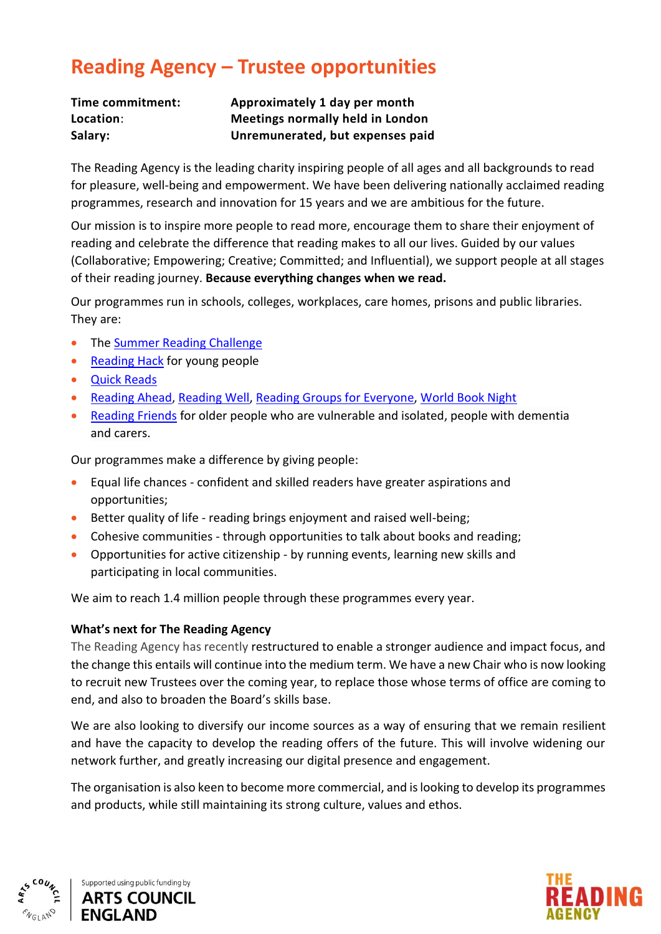## **Reading Agency – Trustee opportunities**

| Time commitment: | Approximately 1 day per month    |
|------------------|----------------------------------|
| Location:        | Meetings normally held in London |
| Salary:          | Unremunerated, but expenses paid |

The Reading Agency is the leading charity inspiring people of all ages and all backgrounds to read for pleasure, well-being and empowerment. We have been delivering nationally acclaimed reading programmes, research and innovation for 15 years and we are ambitious for the future.

Our mission is to inspire more people to read more, encourage them to share their enjoyment of reading and celebrate the difference that reading makes to all our lives. Guided by our values (Collaborative; Empowering; Creative; Committed; and Influential), we support people at all stages of their reading journey. **Because everything changes when we read.**

Our programmes run in schools, colleges, workplaces, care homes, prisons and public libraries. They are:

- The [Summer Reading Challenge](http://readingagency.org.uk/children/quick-guides/summer-reading-challenge/)
- [Reading Hack](http://readingagency.org.uk/young-people/004-get-involved/readinghack-project/what-is-reading-hack-autumn-2015-update.html) for young people
- [Quick Reads](https://readingagency.org.uk/adults/quick-guides/quick-reads/)
- [Reading Ahead,](http://readingagency.org.uk/adults/quick-guides/reading-ahead/) [Reading Well,](http://readingagency.org.uk/adults/quick-guides/reading-well/) [Reading Groups for Everyone,](http://readingagency.org.uk/adults/quick-guides/reading-groups-for-everyone/) [World Book Night](http://readingagency.org.uk/adults/quick-guides/world-book-night-1/)
- [Reading Friends](https://readingagency.org.uk/adults/quick-guides/reading-friends/) for older people who are vulnerable and isolated, people with dementia and carers.

Our programmes make a difference by giving people:

- Equal life chances confident and skilled readers have greater aspirations and opportunities;
- Better quality of life reading brings enjoyment and raised well-being;
- Cohesive communities through opportunities to talk about books and reading;
- Opportunities for active citizenship by running events, learning new skills and participating in local communities.

We aim to reach 1.4 million people through these programmes every year.

## **What's next for The Reading Agency**

The Reading Agency has recently restructured to enable a stronger audience and impact focus, and the change this entails will continue into the medium term. We have a new Chair who is now looking to recruit new Trustees over the coming year, to replace those whose terms of office are coming to end, and also to broaden the Board's skills base.

We are also looking to diversify our income sources as a way of ensuring that we remain resilient and have the capacity to develop the reading offers of the future. This will involve widening our network further, and greatly increasing our digital presence and engagement.

The organisation is also keen to become more commercial, and is looking to develop its programmes and products, while still maintaining its strong culture, values and ethos.